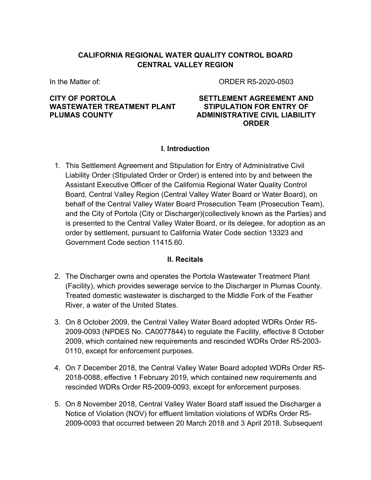## **CALIFORNIA REGIONAL WATER QUALITY CONTROL BOARD CENTRAL VALLEY REGION**

In the Matter of:

ORDER R5-2020-0503

## **CITY OF PORTOLA WASTEWATER TREATMENT PLANT PLUMAS COUNTY**

#### **SETTLEMENT AGREEMENT AND STIPULATION FOR ENTRY OF ADMINISTRATIVE CIVIL LIABILITY ORDER**

# **I. Introduction**

1. This Settlement Agreement and Stipulation for Entry of Administrative Civil Liability Order (Stipulated Order or Order) is entered into by and between the Assistant Executive Officer of the California Regional Water Quality Control Board, Central Valley Region (Central Valley Water Board or Water Board), on behalf of the Central Valley Water Board Prosecution Team (Prosecution Team), and the City of Portola (City or Discharger)(collectively known as the Parties) and is presented to the Central Valley Water Board, or its delegee, for adoption as an order by settlement, pursuant to California Water Code section 13323 and Government Code section 11415.60.

## **II. Recitals**

- 2. The Discharger owns and operates the Portola Wastewater Treatment Plant (Facility), which provides sewerage service to the Discharger in Plumas County. Treated domestic wastewater is discharged to the Middle Fork of the Feather River, a water of the United States.
- 3. On 8 October 2009, the Central Valley Water Board adopted WDRs Order R5- 2009-0093 (NPDES No. CA0077844) to regulate the Facility, effective 8 October 2009, which contained new requirements and rescinded WDRs Order R5-2003- 0110, except for enforcement purposes.
- 4. On 7 December 2018, the Central Valley Water Board adopted WDRs Order R5- 2018-0088, effective 1 February 2019, which contained new requirements and rescinded WDRs Order R5-2009-0093, except for enforcement purposes.
- 5. On 8 November 2018, Central Valley Water Board staff issued the Discharger a Notice of Violation (NOV) for effluent limitation violations of WDRs Order R5- 2009-0093 that occurred between 20 March 2018 and 3 April 2018. Subsequent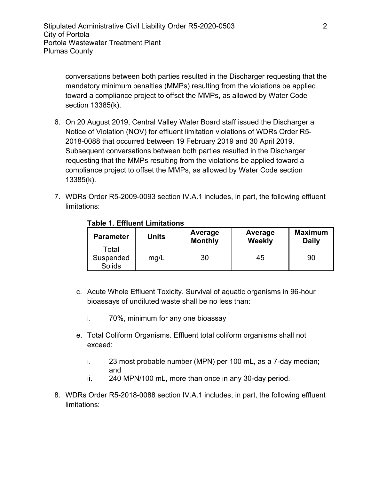conversations between both parties resulted in the Discharger requesting that the mandatory minimum penalties (MMPs) resulting from the violations be applied toward a compliance project to offset the MMPs, as allowed by Water Code section 13385(k).

- 6. On 20 August 2019, Central Valley Water Board staff issued the Discharger a Notice of Violation (NOV) for effluent limitation violations of WDRs Order R5- 2018-0088 that occurred between 19 February 2019 and 30 April 2019. Subsequent conversations between both parties resulted in the Discharger requesting that the MMPs resulting from the violations be applied toward a compliance project to offset the MMPs, as allowed by Water Code section 13385(k).
- 7. WDRs Order R5-2009-0093 section IV.A.1 includes, in part, the following effluent limitations:

| <b>Parameter</b>             | Units | Average<br><b>Monthly</b> | Average<br><b>Weekly</b> | <b>Maximum</b><br><b>Daily</b> |
|------------------------------|-------|---------------------------|--------------------------|--------------------------------|
| Total<br>Suspended<br>Solids | mg/L  | 30                        | 45                       | 90                             |

#### **Table 1. Effluent Limitations**

- c. Acute Whole Effluent Toxicity. Survival of aquatic organisms in 96-hour bioassays of undiluted waste shall be no less than:
	- i. 70%, minimum for any one bioassay
- e. Total Coliform Organisms. Effluent total coliform organisms shall not exceed:
	- i. 23 most probable number (MPN) per 100 mL, as a 7-day median; and
	- ii. 240 MPN/100 mL, more than once in any 30-day period.
- 8. WDRs Order R5-2018-0088 section IV.A.1 includes, in part, the following effluent limitations: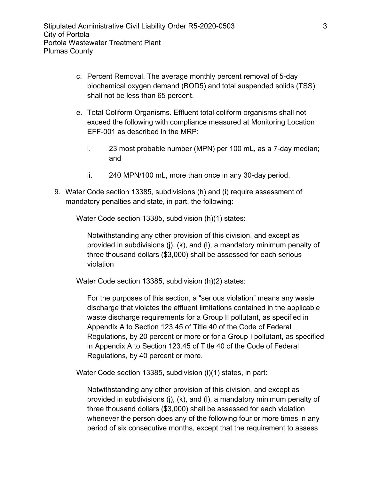- c. Percent Removal. The average monthly percent removal of 5-day biochemical oxygen demand (BOD5) and total suspended solids (TSS) shall not be less than 65 percent.
- e. Total Coliform Organisms. Effluent total coliform organisms shall not exceed the following with compliance measured at Monitoring Location EFF-001 as described in the MRP:
	- i. 23 most probable number (MPN) per 100 mL, as a 7-day median; and
	- ii. 240 MPN/100 mL, more than once in any 30-day period.
- 9. Water Code section 13385, subdivisions (h) and (i) require assessment of mandatory penalties and state, in part, the following:

Water Code section 13385, subdivision (h)(1) states:

Notwithstanding any other provision of this division, and except as provided in subdivisions (j), (k), and (l), a mandatory minimum penalty of three thousand dollars (\$3,000) shall be assessed for each serious violation

Water Code section 13385, subdivision (h)(2) states:

For the purposes of this section, a "serious violation" means any waste discharge that violates the effluent limitations contained in the applicable waste discharge requirements for a Group II pollutant, as specified in Appendix A to Section 123.45 of Title 40 of the Code of Federal Regulations, by 20 percent or more or for a Group I pollutant, as specified in Appendix A to Section 123.45 of Title 40 of the Code of Federal Regulations, by 40 percent or more.

Water Code section 13385, subdivision (i)(1) states, in part:

Notwithstanding any other provision of this division, and except as provided in subdivisions (j), (k), and (l), a mandatory minimum penalty of three thousand dollars (\$3,000) shall be assessed for each violation whenever the person does any of the following four or more times in any period of six consecutive months, except that the requirement to assess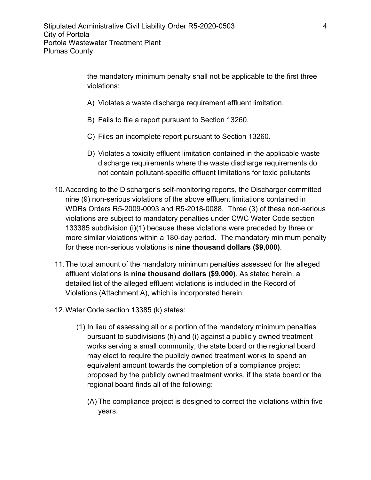the mandatory minimum penalty shall not be applicable to the first three violations:

- A) Violates a waste discharge requirement effluent limitation.
- B) Fails to file a report pursuant to Section 13260.
- C) Files an incomplete report pursuant to Section 13260.
- D) Violates a toxicity effluent limitation contained in the applicable waste discharge requirements where the waste discharge requirements do not contain pollutant-specific effluent limitations for toxic pollutants
- 10.According to the Discharger's self-monitoring reports, the Discharger committed nine (9) non-serious violations of the above effluent limitations contained in WDRs Orders R5-2009-0093 and R5-2018-0088. Three (3) of these non-serious violations are subject to mandatory penalties under CWC Water Code section 133385 subdivision (i)(1) because these violations were preceded by three or more similar violations within a 180-day period. The mandatory minimum penalty for these non-serious violations is **nine thousand dollars (\$9,000)**.
- 11.The total amount of the mandatory minimum penalties assessed for the alleged effluent violations is **nine thousand dollars (\$9,000)**. As stated herein, a detailed list of the alleged effluent violations is included in the Record of Violations (Attachment A), which is incorporated herein.
- 12.Water Code section 13385 (k) states:
	- (1) In lieu of assessing all or a portion of the mandatory minimum penalties pursuant to subdivisions (h) and (i) against a publicly owned treatment works serving a small community, the state board or the regional board may elect to require the publicly owned treatment works to spend an equivalent amount towards the completion of a compliance project proposed by the publicly owned treatment works, if the state board or the regional board finds all of the following:
		- (A) The compliance project is designed to correct the violations within five years.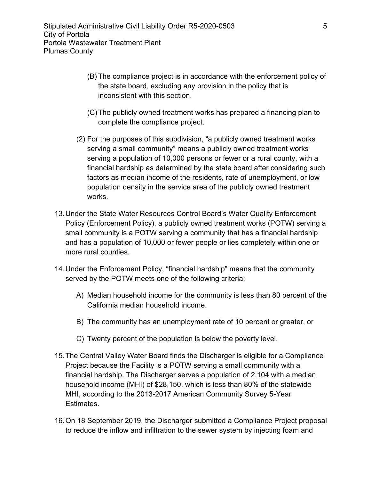- (B) The compliance project is in accordance with the enforcement policy of the state board, excluding any provision in the policy that is inconsistent with this section.
- (C)The publicly owned treatment works has prepared a financing plan to complete the compliance project.
- (2) For the purposes of this subdivision, "a publicly owned treatment works serving a small community" means a publicly owned treatment works serving a population of 10,000 persons or fewer or a rural county, with a financial hardship as determined by the state board after considering such factors as median income of the residents, rate of unemployment, or low population density in the service area of the publicly owned treatment works.
- 13.Under the State Water Resources Control Board's Water Quality Enforcement Policy (Enforcement Policy), a publicly owned treatment works (POTW) serving a small community is a POTW serving a community that has a financial hardship and has a population of 10,000 or fewer people or lies completely within one or more rural counties.
- 14.Under the Enforcement Policy, "financial hardship" means that the community served by the POTW meets one of the following criteria:
	- A) Median household income for the community is less than 80 percent of the California median household income.
	- B) The community has an unemployment rate of 10 percent or greater, or
	- C) Twenty percent of the population is below the poverty level.
- 15.The Central Valley Water Board finds the Discharger is eligible for a Compliance Project because the Facility is a POTW serving a small community with a financial hardship. The Discharger serves a population of 2,104 with a median household income (MHI) of \$28,150, which is less than 80% of the statewide MHI, according to the 2013-2017 American Community Survey 5-Year Estimates.
- 16.On 18 September 2019, the Discharger submitted a Compliance Project proposal to reduce the inflow and infiltration to the sewer system by injecting foam and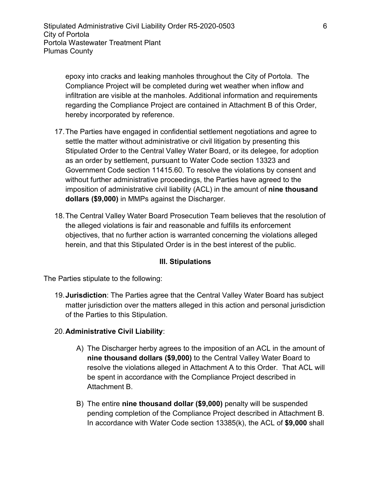epoxy into cracks and leaking manholes throughout the City of Portola. The Compliance Project will be completed during wet weather when inflow and infiltration are visible at the manholes. Additional information and requirements regarding the Compliance Project are contained in Attachment B of this Order, hereby incorporated by reference.

- 17.The Parties have engaged in confidential settlement negotiations and agree to settle the matter without administrative or civil litigation by presenting this Stipulated Order to the Central Valley Water Board, or its delegee, for adoption as an order by settlement, pursuant to Water Code section 13323 and Government Code section 11415.60. To resolve the violations by consent and without further administrative proceedings, the Parties have agreed to the imposition of administrative civil liability (ACL) in the amount of **nine thousand dollars (\$9,000)** in MMPs against the Discharger.
- 18.The Central Valley Water Board Prosecution Team believes that the resolution of the alleged violations is fair and reasonable and fulfills its enforcement objectives, that no further action is warranted concerning the violations alleged herein, and that this Stipulated Order is in the best interest of the public.

# **III. Stipulations**

The Parties stipulate to the following:

19.**Jurisdiction**: The Parties agree that the Central Valley Water Board has subject matter jurisdiction over the matters alleged in this action and personal jurisdiction of the Parties to this Stipulation.

# 20.**Administrative Civil Liability**:

- A) The Discharger herby agrees to the imposition of an ACL in the amount of **nine thousand dollars (\$9,000)** to the Central Valley Water Board to resolve the violations alleged in Attachment A to this Order. That ACL will be spent in accordance with the Compliance Project described in Attachment B.
- B) The entire **nine thousand dollar (\$9,000)** penalty will be suspended pending completion of the Compliance Project described in Attachment B. In accordance with Water Code section 13385(k), the ACL of **\$9,000** shall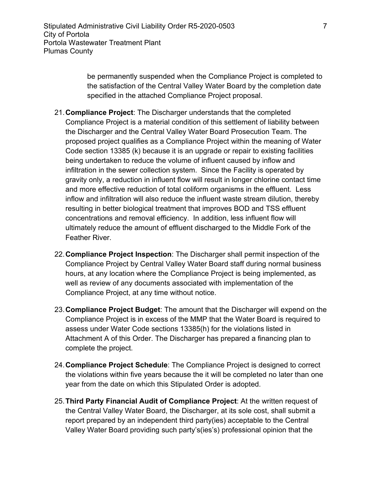be permanently suspended when the Compliance Project is completed to the satisfaction of the Central Valley Water Board by the completion date specified in the attached Compliance Project proposal.

- 21.**Compliance Project**: The Discharger understands that the completed Compliance Project is a material condition of this settlement of liability between the Discharger and the Central Valley Water Board Prosecution Team. The proposed project qualifies as a Compliance Project within the meaning of Water Code section 13385 (k) because it is an upgrade or repair to existing facilities being undertaken to reduce the volume of influent caused by inflow and infiltration in the sewer collection system. Since the Facility is operated by gravity only, a reduction in influent flow will result in longer chlorine contact time and more effective reduction of total coliform organisms in the effluent. Less inflow and infiltration will also reduce the influent waste stream dilution, thereby resulting in better biological treatment that improves BOD and TSS effluent concentrations and removal efficiency. In addition, less influent flow will ultimately reduce the amount of effluent discharged to the Middle Fork of the Feather River.
- 22.**Compliance Project Inspection**: The Discharger shall permit inspection of the Compliance Project by Central Valley Water Board staff during normal business hours, at any location where the Compliance Project is being implemented, as well as review of any documents associated with implementation of the Compliance Project, at any time without notice.
- 23.**Compliance Project Budget**: The amount that the Discharger will expend on the Compliance Project is in excess of the MMP that the Water Board is required to assess under Water Code sections 13385(h) for the violations listed in Attachment A of this Order. The Discharger has prepared a financing plan to complete the project.
- 24.**Compliance Project Schedule**: The Compliance Project is designed to correct the violations within five years because the it will be completed no later than one year from the date on which this Stipulated Order is adopted.
- 25.**Third Party Financial Audit of Compliance Project**: At the written request of the Central Valley Water Board, the Discharger, at its sole cost, shall submit a report prepared by an independent third party(ies) acceptable to the Central Valley Water Board providing such party's(ies's) professional opinion that the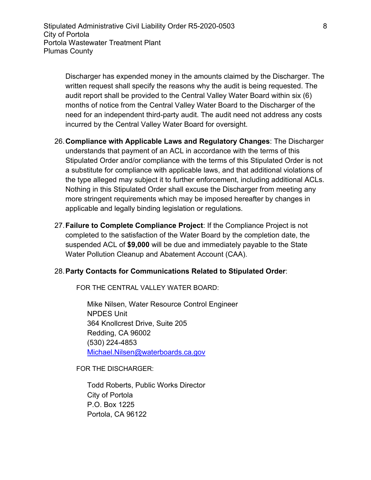Discharger has expended money in the amounts claimed by the Discharger. The written request shall specify the reasons why the audit is being requested. The audit report shall be provided to the Central Valley Water Board within six (6) months of notice from the Central Valley Water Board to the Discharger of the need for an independent third-party audit. The audit need not address any costs incurred by the Central Valley Water Board for oversight.

- 26.**Compliance with Applicable Laws and Regulatory Changes**: The Discharger understands that payment of an ACL in accordance with the terms of this Stipulated Order and/or compliance with the terms of this Stipulated Order is not a substitute for compliance with applicable laws, and that additional violations of the type alleged may subject it to further enforcement, including additional ACLs. Nothing in this Stipulated Order shall excuse the Discharger from meeting any more stringent requirements which may be imposed hereafter by changes in applicable and legally binding legislation or regulations.
- 27.**Failure to Complete Compliance Project**: If the Compliance Project is not completed to the satisfaction of the Water Board by the completion date, the suspended ACL of **\$9,000** will be due and immediately payable to the State Water Pollution Cleanup and Abatement Account (CAA).

## 28.**Party Contacts for Communications Related to Stipulated Order**:

FOR THE CENTRAL VALLEY WATER BOARD:

Mike Nilsen, Water Resource Control Engineer NPDES Unit 364 Knollcrest Drive, Suite 205 Redding, CA 96002 (530) 224-4853 [Michael.Nilsen@waterboards.ca.gov](mailto:Michael.Nilsen@waterboards.ca.gov)

FOR THE DISCHARGER:

Todd Roberts, Public Works Director City of Portola P.O. Box 1225 Portola, CA 96122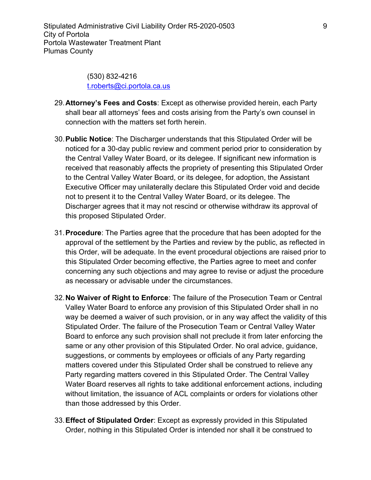(530) 832-4216 t.roberts@ci.portola.ca.us

- 29.**Attorney's Fees and Costs**: Except as otherwise provided herein, each Party shall bear all attorneys' fees and costs arising from the Party's own counsel in connection with the matters set forth herein.
- 30.**Public Notice**: The Discharger understands that this Stipulated Order will be noticed for a 30-day public review and comment period prior to consideration by the Central Valley Water Board, or its delegee. If significant new information is received that reasonably affects the propriety of presenting this Stipulated Order to the Central Valley Water Board, or its delegee, for adoption, the Assistant Executive Officer may unilaterally declare this Stipulated Order void and decide not to present it to the Central Valley Water Board, or its delegee. The Discharger agrees that it may not rescind or otherwise withdraw its approval of this proposed Stipulated Order.
- 31.**Procedure**: The Parties agree that the procedure that has been adopted for the approval of the settlement by the Parties and review by the public, as reflected in this Order, will be adequate. In the event procedural objections are raised prior to this Stipulated Order becoming effective, the Parties agree to meet and confer concerning any such objections and may agree to revise or adjust the procedure as necessary or advisable under the circumstances.
- 32.**No Waiver of Right to Enforce**: The failure of the Prosecution Team or Central Valley Water Board to enforce any provision of this Stipulated Order shall in no way be deemed a waiver of such provision, or in any way affect the validity of this Stipulated Order. The failure of the Prosecution Team or Central Valley Water Board to enforce any such provision shall not preclude it from later enforcing the same or any other provision of this Stipulated Order. No oral advice, guidance, suggestions, or comments by employees or officials of any Party regarding matters covered under this Stipulated Order shall be construed to relieve any Party regarding matters covered in this Stipulated Order. The Central Valley Water Board reserves all rights to take additional enforcement actions, including without limitation, the issuance of ACL complaints or orders for violations other than those addressed by this Order.
- 33.**Effect of Stipulated Order**: Except as expressly provided in this Stipulated Order, nothing in this Stipulated Order is intended nor shall it be construed to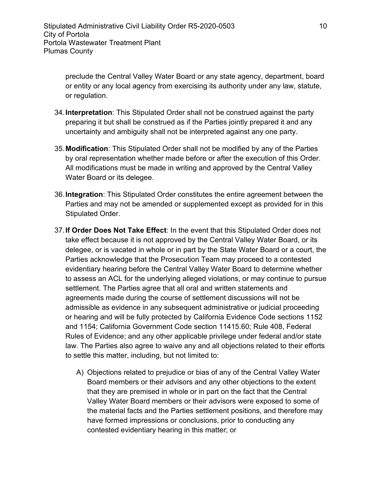preclude the Central Valley Water Board or any state agency, department, board or entity or any local agency from exercising its authority under any law, statute, or regulation.

- 34.**Interpretation**: This Stipulated Order shall not be construed against the party preparing it but shall be construed as if the Parties jointly prepared it and any uncertainty and ambiguity shall not be interpreted against any one party.
- 35.**Modification**: This Stipulated Order shall not be modified by any of the Parties by oral representation whether made before or after the execution of this Order. All modifications must be made in writing and approved by the Central Valley Water Board or its delegee.
- 36.**Integration**: This Stipulated Order constitutes the entire agreement between the Parties and may not be amended or supplemented except as provided for in this Stipulated Order.
- 37.**If Order Does Not Take Effect**: In the event that this Stipulated Order does not take effect because it is not approved by the Central Valley Water Board, or its delegee, or is vacated in whole or in part by the State Water Board or a court, the Parties acknowledge that the Prosecution Team may proceed to a contested evidentiary hearing before the Central Valley Water Board to determine whether to assess an ACL for the underlying alleged violations, or may continue to pursue settlement. The Parties agree that all oral and written statements and agreements made during the course of settlement discussions will not be admissible as evidence in any subsequent administrative or judicial proceeding or hearing and will be fully protected by California Evidence Code sections 1152 and 1154; California Government Code section 11415.60; Rule 408, Federal Rules of Evidence; and any other applicable privilege under federal and/or state law. The Parties also agree to waive any and all objections related to their efforts to settle this matter, including, but not limited to:
	- A) Objections related to prejudice or bias of any of the Central Valley Water Board members or their advisors and any other objections to the extent that they are premised in whole or in part on the fact that the Central Valley Water Board members or their advisors were exposed to some of the material facts and the Parties settlement positions, and therefore may have formed impressions or conclusions, prior to conducting any contested evidentiary hearing in this matter; or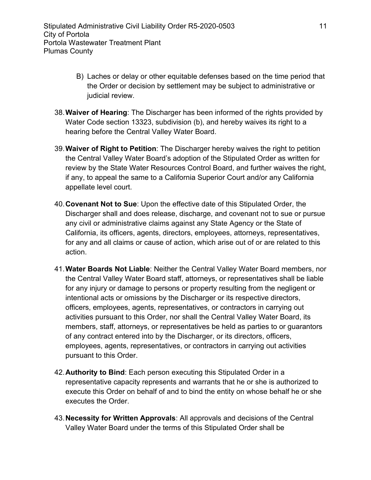- B) Laches or delay or other equitable defenses based on the time period that the Order or decision by settlement may be subject to administrative or judicial review.
- 38.**Waiver of Hearing**: The Discharger has been informed of the rights provided by Water Code section 13323, subdivision (b), and hereby waives its right to a hearing before the Central Valley Water Board.
- 39.**Waiver of Right to Petition**: The Discharger hereby waives the right to petition the Central Valley Water Board's adoption of the Stipulated Order as written for review by the State Water Resources Control Board, and further waives the right, if any, to appeal the same to a California Superior Court and/or any California appellate level court.
- 40.**Covenant Not to Sue**: Upon the effective date of this Stipulated Order, the Discharger shall and does release, discharge, and covenant not to sue or pursue any civil or administrative claims against any State Agency or the State of California, its officers, agents, directors, employees, attorneys, representatives, for any and all claims or cause of action, which arise out of or are related to this action.
- 41.**Water Boards Not Liable**: Neither the Central Valley Water Board members, nor the Central Valley Water Board staff, attorneys, or representatives shall be liable for any injury or damage to persons or property resulting from the negligent or intentional acts or omissions by the Discharger or its respective directors, officers, employees, agents, representatives, or contractors in carrying out activities pursuant to this Order, nor shall the Central Valley Water Board, its members, staff, attorneys, or representatives be held as parties to or guarantors of any contract entered into by the Discharger, or its directors, officers, employees, agents, representatives, or contractors in carrying out activities pursuant to this Order.
- 42.**Authority to Bind**: Each person executing this Stipulated Order in a representative capacity represents and warrants that he or she is authorized to execute this Order on behalf of and to bind the entity on whose behalf he or she executes the Order.
- 43.**Necessity for Written Approvals**: All approvals and decisions of the Central Valley Water Board under the terms of this Stipulated Order shall be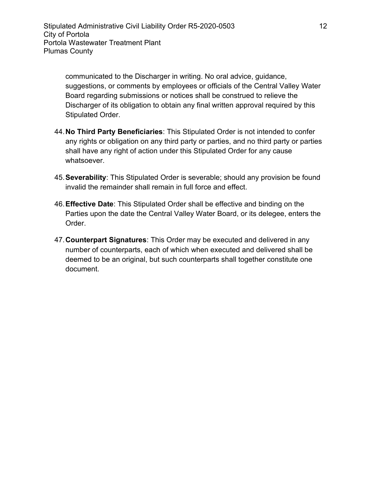communicated to the Discharger in writing. No oral advice, guidance, suggestions, or comments by employees or officials of the Central Valley Water Board regarding submissions or notices shall be construed to relieve the Discharger of its obligation to obtain any final written approval required by this Stipulated Order.

- 44.**No Third Party Beneficiaries**: This Stipulated Order is not intended to confer any rights or obligation on any third party or parties, and no third party or parties shall have any right of action under this Stipulated Order for any cause whatsoever.
- 45.**Severability**: This Stipulated Order is severable; should any provision be found invalid the remainder shall remain in full force and effect.
- 46.**Effective Date**: This Stipulated Order shall be effective and binding on the Parties upon the date the Central Valley Water Board, or its delegee, enters the Order.
- 47.**Counterpart Signatures**: This Order may be executed and delivered in any number of counterparts, each of which when executed and delivered shall be deemed to be an original, but such counterparts shall together constitute one document.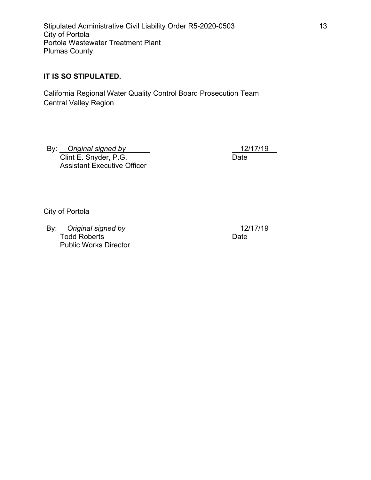Stipulated Administrative Civil Liability Order R5-2020-0503 13 City of Portola Portola Wastewater Treatment Plant Plumas County

## **IT IS SO STIPULATED.**

California Regional Water Quality Control Board Prosecution Team Central Valley Region

By: \_\_*Original signed by*\_\_\_\_\_\_ Clint E. Snyder, P.G. Assistant Executive Officer

\_\_12/17/19\_\_ Date

City of Portola

By: *\_\_Original signed by* Todd Roberts Public Works Director

\_\_12/17/19\_\_ Date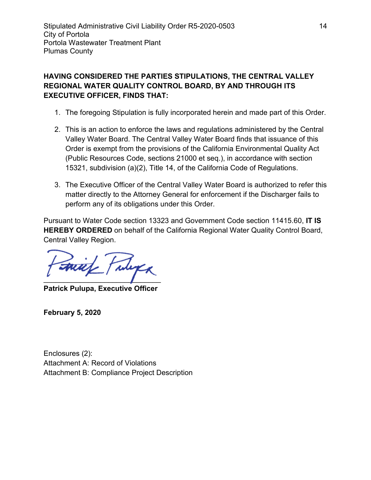# **HAVING CONSIDERED THE PARTIES STIPULATIONS, THE CENTRAL VALLEY REGIONAL WATER QUALITY CONTROL BOARD, BY AND THROUGH ITS EXECUTIVE OFFICER, FINDS THAT:**

- 1. The foregoing Stipulation is fully incorporated herein and made part of this Order.
- 2. This is an action to enforce the laws and regulations administered by the Central Valley Water Board. The Central Valley Water Board finds that issuance of this Order is exempt from the provisions of the California Environmental Quality Act (Public Resources Code, sections 21000 et seq.), in accordance with section 15321, subdivision (a)(2), Title 14, of the California Code of Regulations.
- 3. The Executive Officer of the Central Valley Water Board is authorized to refer this matter directly to the Attorney General for enforcement if the Discharger fails to perform any of its obligations under this Order.

Pursuant to Water Code section 13323 and Government Code section 11415.60, **IT IS HEREBY ORDERED** on behalf of the California Regional Water Quality Control Board, Central Valley Region.

 $\mathcal{L}$  and  $\mathcal{L}$  and  $\mathcal{L}$ 

**Patrick Pulupa, Executive Officer**

**February 5, 2020**

Enclosures (2): Attachment A: Record of Violations Attachment B: Compliance Project Description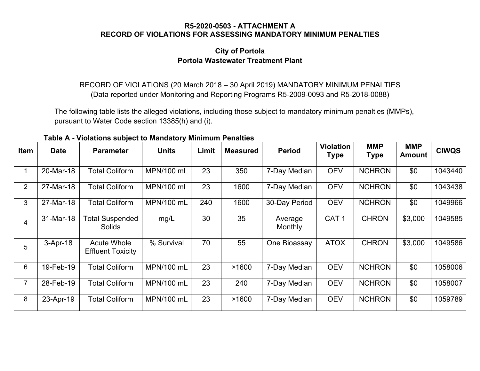#### **R5-2020-0503 - ATTACHMENT A RECORD OF VIOLATIONS FOR ASSESSING MANDATORY MINIMUM PENALTIES**

# **City of Portola Portola Wastewater Treatment Plant**

RECORD OF VIOLATIONS (20 March 2018 – 30 April 2019) MANDATORY MINIMUM PENALTIES (Data reported under Monitoring and Reporting Programs R5-2009-0093 and R5-2018-0088)

The following table lists the alleged violations, including those subject to mandatory minimum penalties (MMPs), pursuant to Water Code section 13385(h) and (i).

**Table A - Violations subject to Mandatory Minimum Penalties**

| Item           | <b>Date</b> | <b>Parameter</b>                               | <b>Units</b> | Limit | <b>Measured</b> | <b>Period</b>      | <b>Violation</b><br><b>Type</b> | <b>MMP</b><br><b>Type</b> | <b>MMP</b><br><b>Amount</b> | <b>CIWQS</b> |
|----------------|-------------|------------------------------------------------|--------------|-------|-----------------|--------------------|---------------------------------|---------------------------|-----------------------------|--------------|
| $\mathbf{1}$   | 20-Mar-18   | <b>Total Coliform</b>                          | MPN/100 mL   | 23    | 350             | 7-Day Median       | <b>OEV</b>                      | <b>NCHRON</b>             | \$0                         | 1043440      |
| $\overline{2}$ | 27-Mar-18   | <b>Total Coliform</b>                          | MPN/100 mL   | 23    | 1600            | 7-Day Median       | <b>OEV</b>                      | <b>NCHRON</b>             | \$0                         | 1043438      |
| 3              | 27-Mar-18   | <b>Total Coliform</b>                          | MPN/100 mL   | 240   | 1600            | 30-Day Period      | <b>OEV</b>                      | <b>NCHRON</b>             | \$0                         | 1049966      |
| $\overline{4}$ | 31-Mar-18   | <b>Total Suspended</b><br><b>Solids</b>        | mg/L         | 30    | 35              | Average<br>Monthly | CAT <sub>1</sub>                | <b>CHRON</b>              | \$3,000                     | 1049585      |
| 5              | $3-Apr-18$  | <b>Acute Whole</b><br><b>Effluent Toxicity</b> | % Survival   | 70    | 55              | One Bioassay       | <b>ATOX</b>                     | <b>CHRON</b>              | \$3,000                     | 1049586      |
| 6              | 19-Feb-19   | <b>Total Coliform</b>                          | MPN/100 mL   | 23    | >1600           | 7-Day Median       | <b>OEV</b>                      | <b>NCHRON</b>             | \$0                         | 1058006      |
| $\overline{7}$ | 28-Feb-19   | <b>Total Coliform</b>                          | MPN/100 mL   | 23    | 240             | 7-Day Median       | <b>OEV</b>                      | <b>NCHRON</b>             | \$0                         | 1058007      |
| 8              | 23-Apr-19   | <b>Total Coliform</b>                          | MPN/100 mL   | 23    | >1600           | 7-Day Median       | <b>OEV</b>                      | <b>NCHRON</b>             | \$0                         | 1059789      |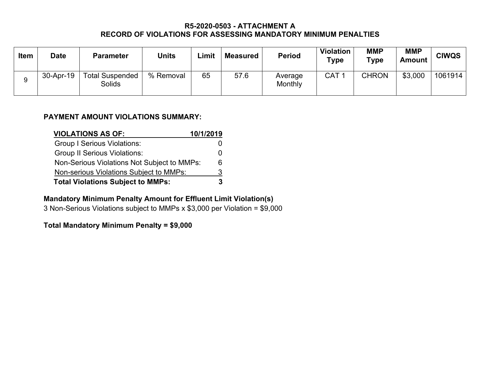## **R5-2020-0503 - ATTACHMENT A RECORD OF VIOLATIONS FOR ASSESSING MANDATORY MINIMUM PENALTIES**

| <b>Item</b> | <b>Date</b> | <b>Parameter</b>                        | <b>Units</b> | ∟imit | <b>Measured</b> | <b>Period</b>      | <b>Violation</b><br>Type | <b>MMP</b><br>Type | <b>MMP</b><br><b>Amount</b> | <b>CIWQS</b> |
|-------------|-------------|-----------------------------------------|--------------|-------|-----------------|--------------------|--------------------------|--------------------|-----------------------------|--------------|
| g           | 30-Apr-19   | <b>Total Suspended</b><br><b>Solids</b> | % Removal    | 65    | 57.6            | Average<br>Monthly | CAT 1                    | <b>CHRON</b>       | \$3,000                     | 1061914      |

## **PAYMENT AMOUNT VIOLATIONS SUMMARY:**

| <b>VIOLATIONS AS OF:</b>                    | 10/1/2019 |
|---------------------------------------------|-----------|
| <b>Group I Serious Violations:</b>          |           |
| <b>Group II Serious Violations:</b>         |           |
| Non-Serious Violations Not Subject to MMPs: |           |
| Non-serious Violations Subject to MMPs:     | 3         |
| <b>Total Violations Subject to MMPs:</b>    |           |

## **Mandatory Minimum Penalty Amount for Effluent Limit Violation(s)**

3 Non-Serious Violations subject to MMPs x \$3,000 per Violation = \$9,000

# **Total Mandatory Minimum Penalty = \$9,000**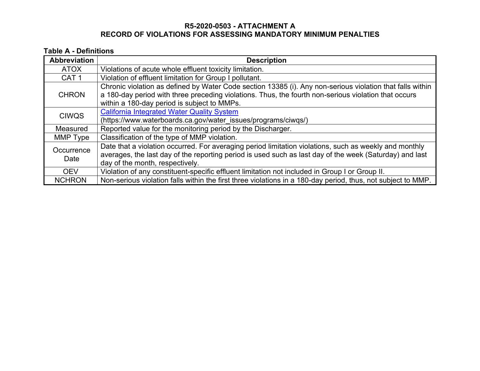## **R5-2020-0503 - ATTACHMENT A RECORD OF VIOLATIONS FOR ASSESSING MANDATORY MINIMUM PENALTIES**

## **Table A - Definitions**

| <b>Abbreviation</b> | <b>Description</b>                                                                                                                                                                                                                                   |
|---------------------|------------------------------------------------------------------------------------------------------------------------------------------------------------------------------------------------------------------------------------------------------|
| <b>ATOX</b>         | Violations of acute whole effluent toxicity limitation.                                                                                                                                                                                              |
| CAT <sub>1</sub>    | Violation of effluent limitation for Group I pollutant.                                                                                                                                                                                              |
| <b>CHRON</b>        | Chronic violation as defined by Water Code section 13385 (i). Any non-serious violation that falls within<br>a 180-day period with three preceding violations. Thus, the fourth non-serious violation that occurs                                    |
|                     | within a 180-day period is subject to MMPs.                                                                                                                                                                                                          |
| <b>CIWQS</b>        | <b>California Integrated Water Quality System</b>                                                                                                                                                                                                    |
|                     | (https://www.waterboards.ca.gov/water_issues/programs/ciwqs/)                                                                                                                                                                                        |
| <b>Measured</b>     | Reported value for the monitoring period by the Discharger.                                                                                                                                                                                          |
| MMP Type            | Classification of the type of MMP violation.                                                                                                                                                                                                         |
| Occurrence<br>Date  | Date that a violation occurred. For averaging period limitation violations, such as weekly and monthly<br>averages, the last day of the reporting period is used such as last day of the week (Saturday) and last<br>day of the month, respectively. |
| <b>OEV</b>          | Violation of any constituent-specific effluent limitation not included in Group I or Group II.                                                                                                                                                       |
| <b>NCHRON</b>       | Non-serious violation falls within the first three violations in a 180-day period, thus, not subject to MMP.                                                                                                                                         |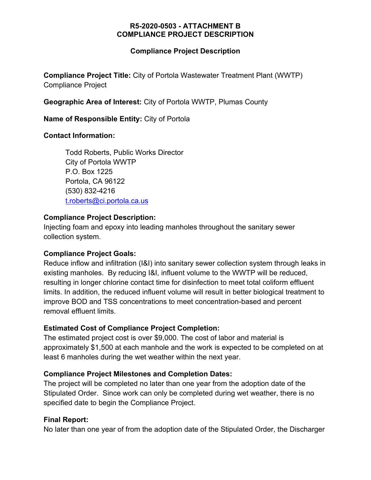## **R5-2020-0503 - ATTACHMENT B COMPLIANCE PROJECT DESCRIPTION**

## **Compliance Project Description**

**Compliance Project Title:** City of Portola Wastewater Treatment Plant (WWTP) Compliance Project

**Geographic Area of Interest:** City of Portola WWTP, Plumas County

**Name of Responsible Entity:** City of Portola

## **Contact Information:**

Todd Roberts, Public Works Director City of Portola WWTP P.O. Box 1225 Portola, CA 96122 (530) 832-4216 [t.roberts@ci.portola.ca.us](mailto:t.roberts@ci.portola.ca.us)

# **Compliance Project Description:**

Injecting foam and epoxy into leading manholes throughout the sanitary sewer collection system.

# **Compliance Project Goals:**

Reduce inflow and infiltration (I&I) into sanitary sewer collection system through leaks in existing manholes. By reducing I&I, influent volume to the WWTP will be reduced, resulting in longer chlorine contact time for disinfection to meet total coliform effluent limits. In addition, the reduced influent volume will result in better biological treatment to improve BOD and TSS concentrations to meet concentration-based and percent removal effluent limits.

# **Estimated Cost of Compliance Project Completion:**

The estimated project cost is over \$9,000. The cost of labor and material is approximately \$1,500 at each manhole and the work is expected to be completed on at least 6 manholes during the wet weather within the next year.

# **Compliance Project Milestones and Completion Dates:**

The project will be completed no later than one year from the adoption date of the Stipulated Order. Since work can only be completed during wet weather, there is no specified date to begin the Compliance Project.

# **Final Report:**

No later than one year of from the adoption date of the Stipulated Order, the Discharger